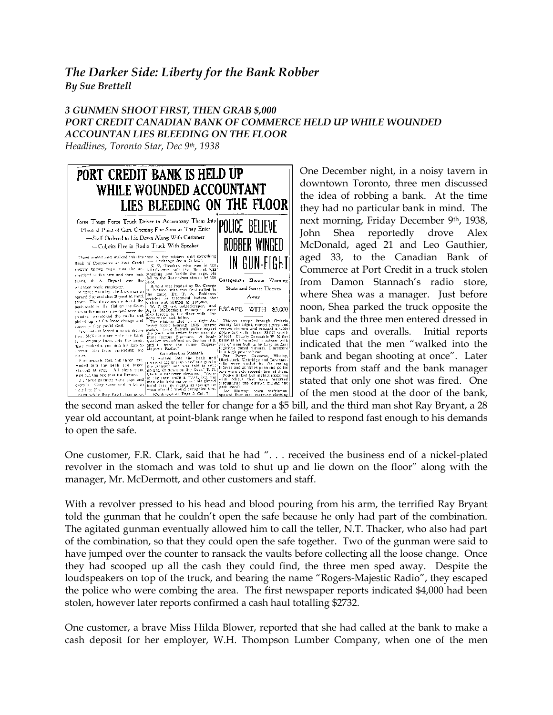## *The Darker Side: Liberty for the Bank Robber By Sue Brettell*

## *3 GUNMEN SHOOT FIRST, THEN GRAB \$,000 PORT CREDIT CANADIAN BANK OF COMMERCE HELD UP WHILE WOUNDED ACCOUNTAN LIES BLEEDING ON THE FLOOR*

*Headlines, Toronto Star, Dec 9th, 1938*



One December night, in a noisy tavern in downtown Toronto, three men discussed the idea of robbing a bank. At the time they had no particular bank in mind. The next morning, Friday December 9th, 1938, John Shea reportedly drove Alex McDonald, aged 21 and Leo Gauthier, aged 33, to the Canadian Bank of Commerce at Port Credit in a truck stolen from Damon Stannach's radio store, where Shea was a manager. Just before noon, Shea parked the truck opposite the bank and the three men entered dressed in blue caps and overalls. Initial reports indicated that the men "walked into the bank and began shooting at once". Later reports from staff and the bank manager stated that only one shot was fired. One of the men stood at the door of the bank,

year old accountant, at point-blank range when he failed to respond fast enough to his demands to open the safe.

One customer, F.R. Clark, said that he had ". . . received the business end of a nickel-plated revolver in the stomach and was told to shut up and lie down on the floor" along with the manager, Mr. McDermott, and other customers and staff.

With a revolver pressed to his head and blood pouring from his arm, the terrified Ray Bryant told the gunman that he couldn't open the safe because he only had part of the combination. The agitated gunman eventually allowed him to call the teller, N.T. Thacker, who also had part of the combination, so that they could open the safe together. Two of the gunman were said to have jumped over the counter to ransack the vaults before collecting all the loose change. Once they had scooped up all the cash they could find, the three men sped away. Despite the loudspeakers on top of the truck, and bearing the name "Rogers-Majestic Radio", they escaped the police who were combing the area. The first newspaper reports indicated \$4,000 had been stolen, however later reports confirmed a cash haul totalling \$2732.

One customer, a brave Miss Hilda Blower, reported that she had called at the bank to make a cash deposit for her employer, W.H. Thompson Lumber Company, when one of the men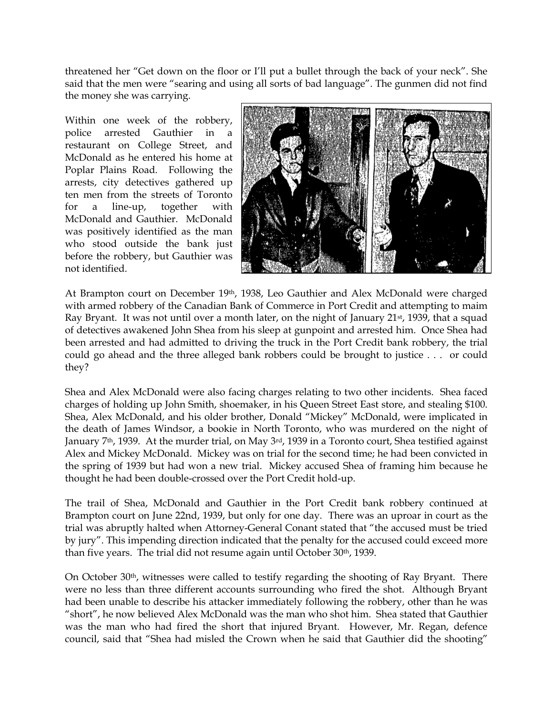threatened her "Get down on the floor or I'll put a bullet through the back of your neck". She said that the men were "searing and using all sorts of bad language". The gunmen did not find the money she was carrying.

Within one week of the robbery, police arrested Gauthier in a restaurant on College Street, and McDonald as he entered his home at Poplar Plains Road. Following the arrests, city detectives gathered up ten men from the streets of Toronto for a line-up, together with McDonald and Gauthier. McDonald was positively identified as the man who stood outside the bank just before the robbery, but Gauthier was not identified.



At Brampton court on December 19th, 1938, Leo Gauthier and Alex McDonald were charged with armed robbery of the Canadian Bank of Commerce in Port Credit and attempting to maim Ray Bryant. It was not until over a month later, on the night of January 21<sup>st</sup>, 1939, that a squad of detectives awakened John Shea from his sleep at gunpoint and arrested him. Once Shea had been arrested and had admitted to driving the truck in the Port Credit bank robbery, the trial could go ahead and the three alleged bank robbers could be brought to justice . . . or could they?

Shea and Alex McDonald were also facing charges relating to two other incidents. Shea faced charges of holding up John Smith, shoemaker, in his Queen Street East store, and stealing \$100. Shea, Alex McDonald, and his older brother, Donald "Mickey" McDonald, were implicated in the death of James Windsor, a bookie in North Toronto, who was murdered on the night of January 7<sup>th</sup>, 1939. At the murder trial, on May 3<sup>rd</sup>, 1939 in a Toronto court, Shea testified against Alex and Mickey McDonald. Mickey was on trial for the second time; he had been convicted in the spring of 1939 but had won a new trial. Mickey accused Shea of framing him because he thought he had been double-crossed over the Port Credit hold-up.

The trail of Shea, McDonald and Gauthier in the Port Credit bank robbery continued at Brampton court on June 22nd, 1939, but only for one day. There was an uproar in court as the trial was abruptly halted when Attorney-General Conant stated that "the accused must be tried by jury". This impending direction indicated that the penalty for the accused could exceed more than five years. The trial did not resume again until October 30th, 1939.

On October 30th, witnesses were called to testify regarding the shooting of Ray Bryant. There were no less than three different accounts surrounding who fired the shot. Although Bryant had been unable to describe his attacker immediately following the robbery, other than he was "short", he now believed Alex McDonald was the man who shot him. Shea stated that Gauthier was the man who had fired the short that injured Bryant. However, Mr. Regan, defence council, said that "Shea had misled the Crown when he said that Gauthier did the shooting"